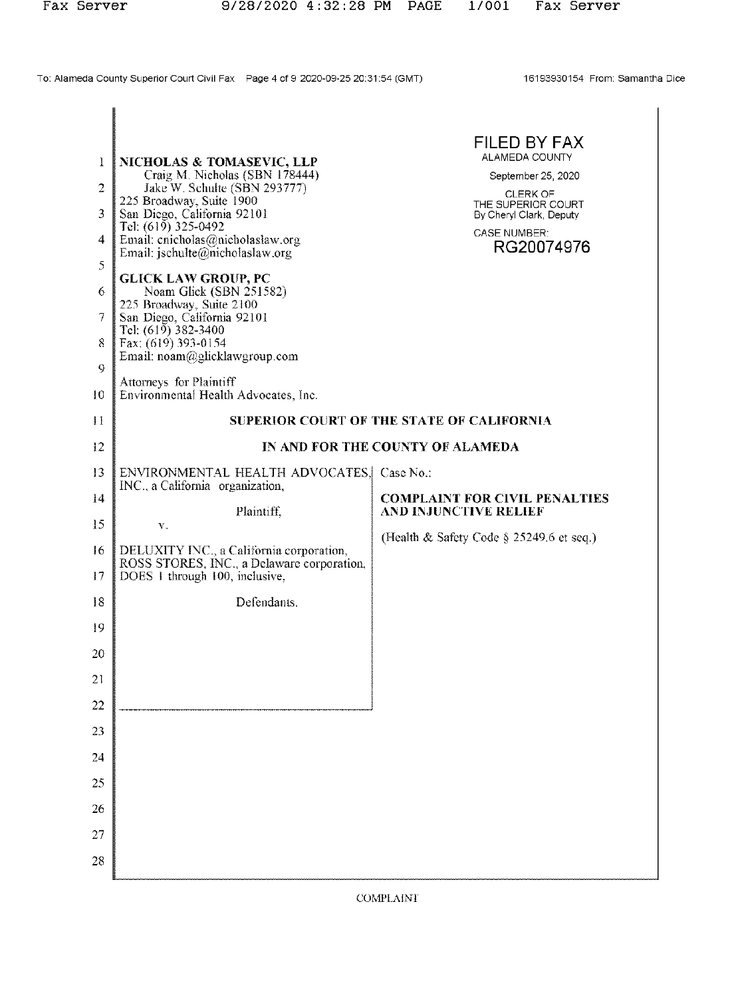To: Alameda County Superior Court Civil Fax Page 4 of 9 2020-09-25 20:31:54 (GMT)

16193930154 From: Samantha Dice

| 1              | NICHOLAS & TOMASEVIC, LLP<br>Craig M. Nicholas (SBN 178444)                                                              | FILED BY FAX<br><b>ALAMEDA COUNTY</b><br>September 25, 2020   |  |  |
|----------------|--------------------------------------------------------------------------------------------------------------------------|---------------------------------------------------------------|--|--|
| $\overline{2}$ | Jake W. Schulte (SBN 293777)<br>225 Broadway, Suite 1900                                                                 | <b>CLERK OF</b><br>THE SUPERIOR COURT                         |  |  |
| 3              | San Diego, California 92101<br>Tel: (619) 325-0492                                                                       | By Cheryl Clark, Deputy<br><b>CASE NUMBER:</b>                |  |  |
| 4<br>5         | Email: cnicholas@nicholaslaw.org<br>Email: $ischulte(\omega)$ nicholaslaw.org                                            | RG20074976                                                    |  |  |
| 6              | <b>GLICK LAW GROUP, PC</b><br>Noam Glick (SBN 251582)                                                                    |                                                               |  |  |
| 7              | 225 Broadway, Suite 2100<br>San Diego, California 92101                                                                  |                                                               |  |  |
| 8              | Tel: (619) 382-3400<br>Fax: (619) 393-0154                                                                               |                                                               |  |  |
| 9              | Email: noam@glicklawgroup.com                                                                                            |                                                               |  |  |
| 10             | Attorneys for Plaintiff<br>Environmental Health Advocates, Inc.                                                          |                                                               |  |  |
| 11             | <b>SUPERIOR COURT OF THE STATE OF CALIFORNIA</b>                                                                         |                                                               |  |  |
| 12             | IN AND FOR THE COUNTY OF ALAMEDA                                                                                         |                                                               |  |  |
| 13             | ENVIRONMENTAL HEALTH ADVOCATES, Case No.:<br>INC., a California organization,                                            |                                                               |  |  |
| 14             | Plaintiff,                                                                                                               | <b>COMPLAINT FOR CIVIL PENALTIES</b><br>AND INJUNCTIVE RELIEF |  |  |
| 15             | $\mathbf{V}$ .                                                                                                           | (Health & Safety Code § 25249.6 et seq.)                      |  |  |
| 16<br>17       | DELUXITY INC., a California corporation,<br>ROSS STORES, INC., a Delaware corporation,<br>DOES 1 through 100, inclusive, |                                                               |  |  |
| 18             | Defendants.                                                                                                              |                                                               |  |  |
| 19             |                                                                                                                          |                                                               |  |  |
| 20             |                                                                                                                          |                                                               |  |  |
| 21             |                                                                                                                          |                                                               |  |  |
| 22             |                                                                                                                          |                                                               |  |  |
| 23             |                                                                                                                          |                                                               |  |  |
| 24             |                                                                                                                          |                                                               |  |  |
| 25             |                                                                                                                          |                                                               |  |  |
| 2 <sub>0</sub> |                                                                                                                          |                                                               |  |  |
| 27             |                                                                                                                          |                                                               |  |  |
| 28             |                                                                                                                          |                                                               |  |  |

**COMPLAINT**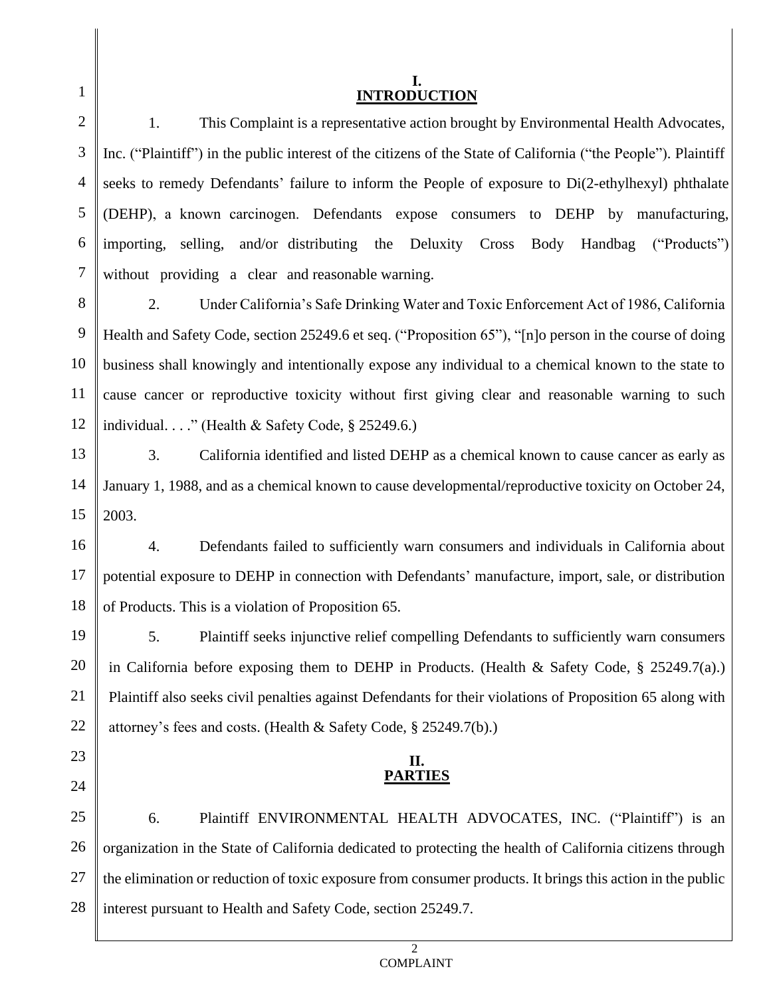| $\mathbf{1}$   | <b>INTRODUCTION</b>                                                                                            |  |  |
|----------------|----------------------------------------------------------------------------------------------------------------|--|--|
| $\overline{2}$ | 1.<br>This Complaint is a representative action brought by Environmental Health Advocates,                     |  |  |
| 3              | Inc. ("Plaintiff") in the public interest of the citizens of the State of California ("the People"). Plaintiff |  |  |
| $\overline{4}$ | seeks to remedy Defendants' failure to inform the People of exposure to Di(2-ethylhexyl) phthalate             |  |  |
| 5              | (DEHP), a known carcinogen. Defendants expose consumers to DEHP by manufacturing,                              |  |  |
| 6              | importing, selling, and/or distributing the Deluxity Cross Body Handbag ("Products")                           |  |  |
| 7              | without providing a clear and reasonable warning.                                                              |  |  |
| 8              | 2.<br>Under California's Safe Drinking Water and Toxic Enforcement Act of 1986, California                     |  |  |
| 9              | Health and Safety Code, section 25249.6 et seq. ("Proposition 65"), "[n]o person in the course of doing        |  |  |
| 10             | business shall knowingly and intentionally expose any individual to a chemical known to the state to           |  |  |
| 11             | cause cancer or reproductive toxicity without first giving clear and reasonable warning to such                |  |  |
| 12             | individual" (Health & Safety Code, $\S$ 25249.6.)                                                              |  |  |
| 13             | 3.<br>California identified and listed DEHP as a chemical known to cause cancer as early as                    |  |  |
| 14             | January 1, 1988, and as a chemical known to cause developmental/reproductive toxicity on October 24,           |  |  |
| 15             | 2003.                                                                                                          |  |  |
| 16             | Defendants failed to sufficiently warn consumers and individuals in California about<br>$\overline{4}$ .       |  |  |
| 17             | potential exposure to DEHP in connection with Defendants' manufacture, import, sale, or distribution           |  |  |
| 18             | of Products. This is a violation of Proposition 65.                                                            |  |  |
| 19             | 5.<br>Plaintiff seeks injunctive relief compelling Defendants to sufficiently warn consumers                   |  |  |
| 20             | in California before exposing them to DEHP in Products. (Health & Safety Code, $\S$ 25249.7(a).)               |  |  |
| 21             | Plaintiff also seeks civil penalties against Defendants for their violations of Proposition 65 along with      |  |  |
| 22             | attorney's fees and costs. (Health & Safety Code, § 25249.7(b).)                                               |  |  |
| 23             | П.                                                                                                             |  |  |
| 24             | <b>PARTIES</b>                                                                                                 |  |  |
| 25             | 6.<br>Plaintiff ENVIRONMENTAL HEALTH ADVOCATES, INC. ("Plaintiff") is an                                       |  |  |
| 26             | organization in the State of California dedicated to protecting the health of California citizens through      |  |  |
| 27             | the elimination or reduction of toxic exposure from consumer products. It brings this action in the public     |  |  |
| 28             | interest pursuant to Health and Safety Code, section 25249.7.                                                  |  |  |

 $\parallel$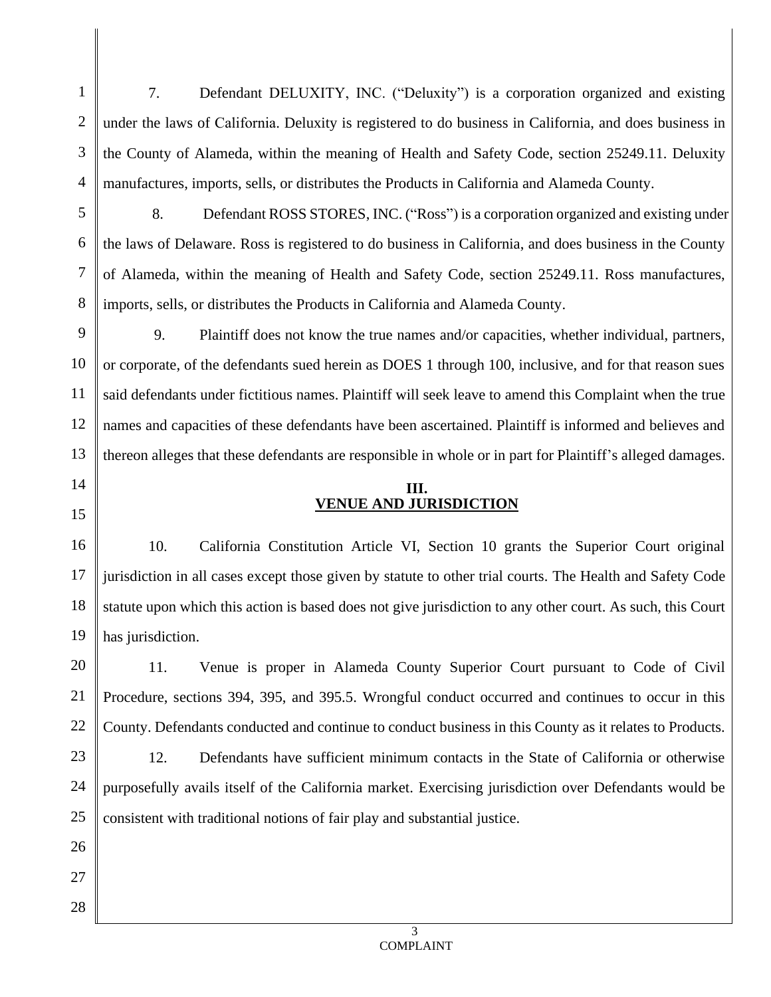1 2 3 4 7. Defendant DELUXITY, INC. ("Deluxity") is a corporation organized and existing under the laws of California. Deluxity is registered to do business in California, and does business in the County of Alameda, within the meaning of Health and Safety Code, section 25249.11. Deluxity manufactures, imports, sells, or distributes the Products in California and Alameda County.

5 6 7 8 8. Defendant ROSS STORES, INC. ("Ross") is a corporation organized and existing under the laws of Delaware. Ross is registered to do business in California, and does business in the County of Alameda, within the meaning of Health and Safety Code, section 25249.11. Ross manufactures, imports, sells, or distributes the Products in California and Alameda County.

9 10 11 12 13 9. Plaintiff does not know the true names and/or capacities, whether individual, partners, or corporate, of the defendants sued herein as DOES 1 through 100, inclusive, and for that reason sues said defendants under fictitious names. Plaintiff will seek leave to amend this Complaint when the true names and capacities of these defendants have been ascertained. Plaintiff is informed and believes and thereon alleges that these defendants are responsible in whole or in part for Plaintiff's alleged damages.

> **III. VENUE AND JURISDICTION**

14

15

26

27

28

16 17 18 19 10. California Constitution Article VI, Section 10 grants the Superior Court original jurisdiction in all cases except those given by statute to other trial courts. The Health and Safety Code statute upon which this action is based does not give jurisdiction to any other court. As such, this Court has jurisdiction.

20 21 22 11. Venue is proper in Alameda County Superior Court pursuant to Code of Civil Procedure, sections 394, 395, and 395.5. Wrongful conduct occurred and continues to occur in this County. Defendants conducted and continue to conduct business in this County as it relates to Products.

23 24 25 12. Defendants have sufficient minimum contacts in the State of California or otherwise purposefully avails itself of the California market. Exercising jurisdiction over Defendants would be consistent with traditional notions of fair play and substantial justice.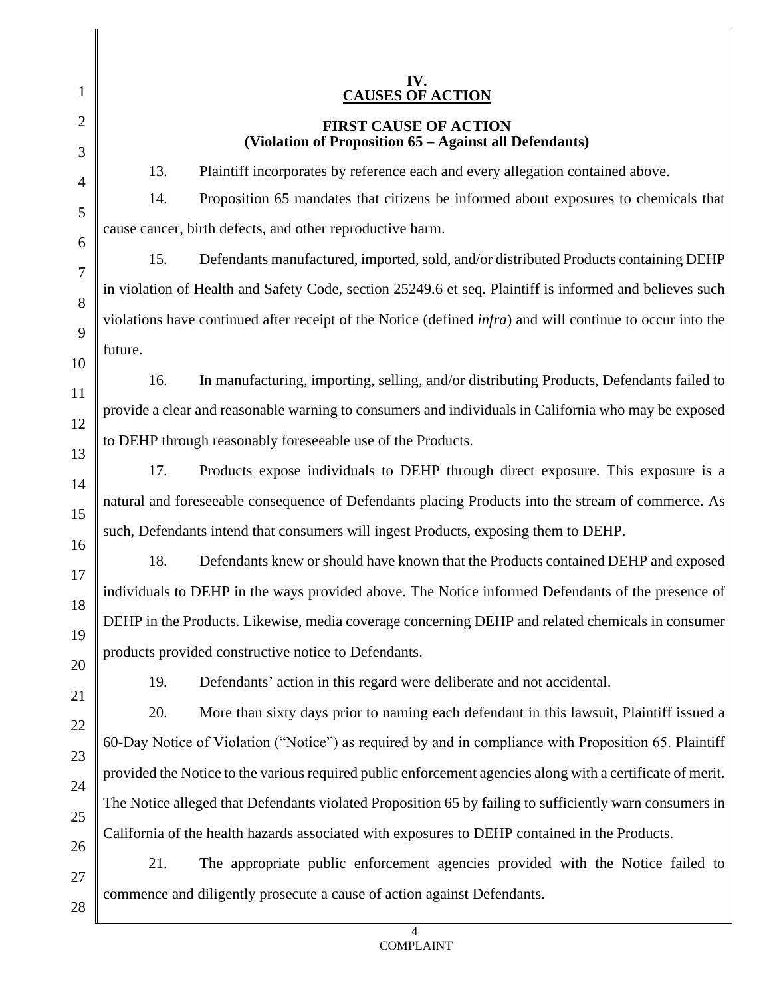|                     | IV.                                                                                                               |  |
|---------------------|-------------------------------------------------------------------------------------------------------------------|--|
| 1                   | <b>CAUSES OF ACTION</b>                                                                                           |  |
| $\overline{2}$<br>3 | <b>FIRST CAUSE OF ACTION</b><br>(Violation of Proposition 65 - Against all Defendants)                            |  |
| $\overline{4}$      | 13.<br>Plaintiff incorporates by reference each and every allegation contained above.                             |  |
| 5                   | 14.<br>Proposition 65 mandates that citizens be informed about exposures to chemicals that                        |  |
| 6                   | cause cancer, birth defects, and other reproductive harm.                                                         |  |
| 7                   | 15.<br>Defendants manufactured, imported, sold, and/or distributed Products containing DEHP                       |  |
| 8                   | in violation of Health and Safety Code, section 25249.6 et seq. Plaintiff is informed and believes such           |  |
| 9                   | violations have continued after receipt of the Notice (defined <i>infra</i> ) and will continue to occur into the |  |
| 10                  | future.                                                                                                           |  |
| 11                  | 16.<br>In manufacturing, importing, selling, and/or distributing Products, Defendants failed to                   |  |
| 12                  | provide a clear and reasonable warning to consumers and individuals in California who may be exposed              |  |
| 13                  | to DEHP through reasonably foreseeable use of the Products.                                                       |  |
| 14                  | 17.<br>Products expose individuals to DEHP through direct exposure. This exposure is a                            |  |
| 15                  | natural and foreseeable consequence of Defendants placing Products into the stream of commerce. As                |  |
| 16                  | such, Defendants intend that consumers will ingest Products, exposing them to DEHP.                               |  |
| 17                  | 18.<br>Defendants knew or should have known that the Products contained DEHP and exposed                          |  |
| 18                  | individuals to DEHP in the ways provided above. The Notice informed Defendants of the presence of                 |  |
| 19                  | DEHP in the Products. Likewise, media coverage concerning DEHP and related chemicals in consumer                  |  |
| 20                  | products provided constructive notice to Defendants.                                                              |  |
| 21                  | 19.<br>Defendants' action in this regard were deliberate and not accidental.                                      |  |
| 22                  | 20.<br>More than sixty days prior to naming each defendant in this lawsuit, Plaintiff issued a                    |  |
| 23                  | 60-Day Notice of Violation ("Notice") as required by and in compliance with Proposition 65. Plaintiff             |  |
| 24                  | provided the Notice to the various required public enforcement agencies along with a certificate of merit.        |  |
| 25                  | The Notice alleged that Defendants violated Proposition 65 by failing to sufficiently warn consumers in           |  |
| 26                  | California of the health hazards associated with exposures to DEHP contained in the Products.                     |  |
| 27                  | 21.<br>The appropriate public enforcement agencies provided with the Notice failed to                             |  |
| 28                  | commence and diligently prosecute a cause of action against Defendants.                                           |  |